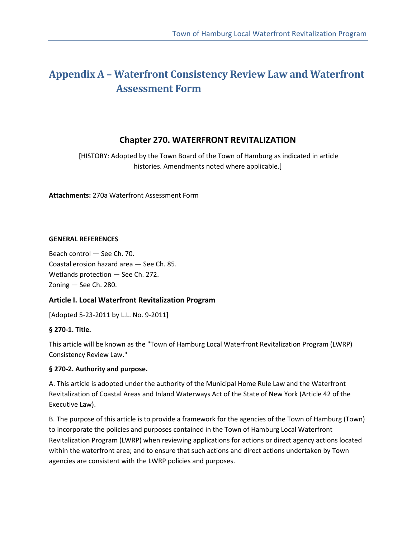# **Appendix A – Waterfront Consistency Review Law and Waterfront Assessment Form**

### **Chapter 270. WATERFRONT REVITALIZATION**

 [HISTORY: Adopted by the Town Board of the Town of Hamburg as indicated in article histories. Amendments noted where applicable.]

**Attachments:** 270a Waterfront Assessment Form

#### **GENERAL REFERENCES**

Beach control — See Ch. 70. Coastal erosion hazard area — See Ch. 85. Wetlands protection — See Ch. 272. Zoning — See Ch. 280.

### **Article I. Local Waterfront Revitalization Program**

[Adopted 5-23-2011 by L.L. No. 9-2011]

### **§ 270-1. Title.**

This article will be known as the "Town of Hamburg Local Waterfront Revitalization Program (LWRP) Consistency Review Law."

### **§ 270-2. Authority and purpose.**

A. This article is adopted under the authority of the Municipal Home Rule Law and the Waterfront Revitalization of Coastal Areas and Inland Waterways Act of the State of New York (Article 42 of the Executive Law).

B. The purpose of this article is to provide a framework for the agencies of the Town of Hamburg (Town) to incorporate the policies and purposes contained in the Town of Hamburg Local Waterfront Revitalization Program (LWRP) when reviewing applications for actions or direct agency actions located within the waterfront area; and to ensure that such actions and direct actions undertaken by Town agencies are consistent with the LWRP policies and purposes.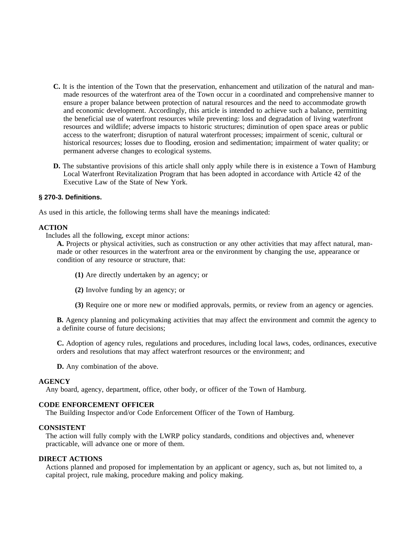- **C.** It is the intention of the Town that the preservation, enhancement and utilization of the natural and manmade resources of the waterfront area of the Town occur in a coordinated and comprehensive manner to ensure a proper balance between protection of natural resources and the need to accommodate growth and economic development. Accordingly, this article is intended to achieve such a balance, permitting the beneficial use of waterfront resources while preventing: loss and degradation of living waterfront resources and wildlife; adverse impacts to historic structures; diminution of open space areas or public access to the waterfront; disruption of natural waterfront processes; impairment of scenic, cultural or historical resources; losses due to flooding, erosion and sedimentation; impairment of water quality; or permanent adverse changes to ecological systems.
- **D.** The substantive provisions of this article shall only apply while there is in existence a Town of Hamburg Local Waterfront Revitalization Program that has been adopted in accordance with Article 42 of the Executive Law of the State of New York.

#### **§ 270-3. Definitions.**

As used in this article, the following terms shall have the meanings indicated:

#### **ACTION**

Includes all the following, except minor actions:

**A.** Projects or physical activities, such as construction or any other activities that may affect natural, manmade or other resources in the waterfront area or the environment by changing the use, appearance or condition of any resource or structure, that:

- **(1)** Are directly undertaken by an agency; or
- **(2)** Involve funding by an agency; or
- **(3)** Require one or more new or modified approvals, permits, or review from an agency or agencies.

**B.** Agency planning and policymaking activities that may affect the environment and commit the agency to a definite course of future decisions;

**C.** Adoption of agency rules, regulations and procedures, including local laws, codes, ordinances, executive orders and resolutions that may affect waterfront resources or the environment; and

**D.** Any combination of the above.

#### **AGENCY**

Any board, agency, department, office, other body, or officer of the Town of Hamburg.

#### **CODE ENFORCEMENT OFFICER**

The Building Inspector and/or Code Enforcement Officer of the Town of Hamburg.

#### **CONSISTENT**

The action will fully comply with the LWRP policy standards, conditions and objectives and, whenever practicable, will advance one or more of them.

#### **DIRECT ACTIONS**

Actions planned and proposed for implementation by an applicant or agency, such as, but not limited to, a capital project, rule making, procedure making and policy making.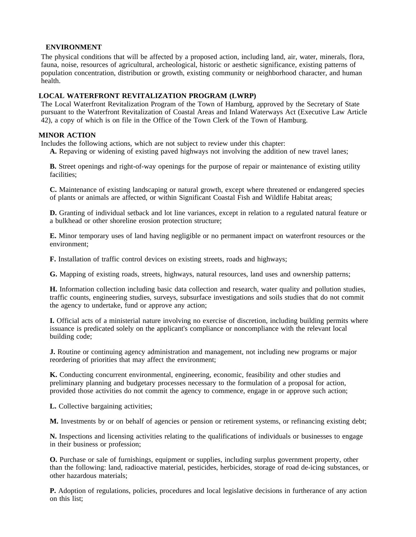#### **ENVIRONMENT**

The physical conditions that will be affected by a proposed action, including land, air, water, minerals, flora, fauna, noise, resources of agricultural, archeological, historic or aesthetic significance, existing patterns of population concentration, distribution or growth, existing community or neighborhood character, and human health.

#### **LOCAL WATERFRONT REVITALIZATION PROGRAM (LWRP)**

The Local Waterfront Revitalization Program of the Town of Hamburg, approved by the Secretary of State pursuant to the Waterfront Revitalization of Coastal Areas and Inland Waterways Act (Executive Law Article 42), a copy of which is on file in the Office of the Town Clerk of the Town of Hamburg.

#### **MINOR ACTION**

Includes the following actions, which are not subject to review under this chapter:

**A.** Repaving or widening of existing paved highways not involving the addition of new travel lanes;

**B.** Street openings and right-of-way openings for the purpose of repair or maintenance of existing utility facilities;

**C.** Maintenance of existing landscaping or natural growth, except where threatened or endangered species of plants or animals are affected, or within Significant Coastal Fish and Wildlife Habitat areas;

**D.** Granting of individual setback and lot line variances, except in relation to a regulated natural feature or a bulkhead or other shoreline erosion protection structure;

**E.** Minor temporary uses of land having negligible or no permanent impact on waterfront resources or the environment;

**F.** Installation of traffic control devices on existing streets, roads and highways;

**G.** Mapping of existing roads, streets, highways, natural resources, land uses and ownership patterns;

**H.** Information collection including basic data collection and research, water quality and pollution studies, traffic counts, engineering studies, surveys, subsurface investigations and soils studies that do not commit the agency to undertake, fund or approve any action;

**I.** Official acts of a ministerial nature involving no exercise of discretion, including building permits where issuance is predicated solely on the applicant's compliance or noncompliance with the relevant local building code;

**J.** Routine or continuing agency administration and management, not including new programs or major reordering of priorities that may affect the environment;

**K.** Conducting concurrent environmental, engineering, economic, feasibility and other studies and preliminary planning and budgetary processes necessary to the formulation of a proposal for action, provided those activities do not commit the agency to commence, engage in or approve such action;

**L.** Collective bargaining activities;

**M.** Investments by or on behalf of agencies or pension or retirement systems, or refinancing existing debt;

**N.** Inspections and licensing activities relating to the qualifications of individuals or businesses to engage in their business or profession;

**O.** Purchase or sale of furnishings, equipment or supplies, including surplus government property, other than the following: land, radioactive material, pesticides, herbicides, storage of road de-icing substances, or other hazardous materials;

**P.** Adoption of regulations, policies, procedures and local legislative decisions in furtherance of any action on this list;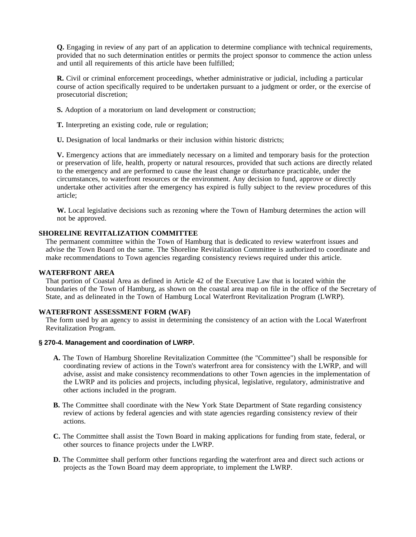**Q.** Engaging in review of any part of an application to determine compliance with technical requirements, provided that no such determination entitles or permits the project sponsor to commence the action unless and until all requirements of this article have been fulfilled;

**R.** Civil or criminal enforcement proceedings, whether administrative or judicial, including a particular course of action specifically required to be undertaken pursuant to a judgment or order, or the exercise of prosecutorial discretion;

**S.** Adoption of a moratorium on land development or construction;

**T.** Interpreting an existing code, rule or regulation;

**U.** Designation of local landmarks or their inclusion within historic districts;

**V.** Emergency actions that are immediately necessary on a limited and temporary basis for the protection or preservation of life, health, property or natural resources, provided that such actions are directly related to the emergency and are performed to cause the least change or disturbance practicable, under the circumstances, to waterfront resources or the environment. Any decision to fund, approve or directly undertake other activities after the emergency has expired is fully subject to the review procedures of this article;

**W.** Local legislative decisions such as rezoning where the Town of Hamburg determines the action will not be approved.

#### **SHORELINE REVITALIZATION COMMITTEE**

The permanent committee within the Town of Hamburg that is dedicated to review waterfront issues and advise the Town Board on the same. The Shoreline Revitalization Committee is authorized to coordinate and make recommendations to Town agencies regarding consistency reviews required under this article.

#### **WATERFRONT AREA**

That portion of Coastal Area as defined in Article 42 of the Executive Law that is located within the boundaries of the Town of Hamburg, as shown on the coastal area map on file in the office of the Secretary of State, and as delineated in the Town of Hamburg Local Waterfront Revitalization Program (LWRP).

#### **WATERFRONT ASSESSMENT FORM (WAF)**

The form used by an agency to assist in determining the consistency of an action with the Local Waterfront Revitalization Program.

#### **§ 270-4. Management and coordination of LWRP.**

- **A.** The Town of Hamburg Shoreline Revitalization Committee (the "Committee") shall be responsible for coordinating review of actions in the Town's waterfront area for consistency with the LWRP, and will advise, assist and make consistency recommendations to other Town agencies in the implementation of the LWRP and its policies and projects, including physical, legislative, regulatory, administrative and other actions included in the program.
- **B.** The Committee shall coordinate with the New York State Department of State regarding consistency review of actions by federal agencies and with state agencies regarding consistency review of their actions.
- **C.** The Committee shall assist the Town Board in making applications for funding from state, federal, or other sources to finance projects under the LWRP.
- **D.** The Committee shall perform other functions regarding the waterfront area and direct such actions or projects as the Town Board may deem appropriate, to implement the LWRP.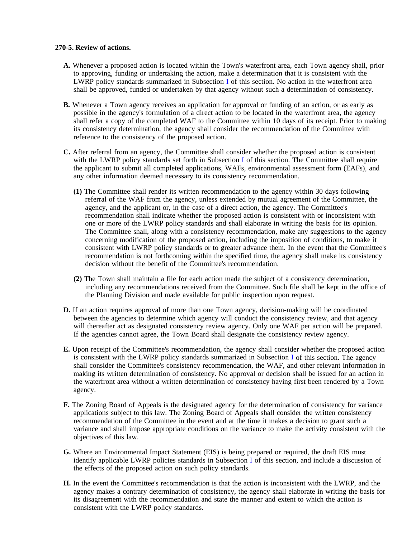#### **270-5. Review of actions.**

- **A.** Whenever a proposed action is located within the Town's waterfront area, each Town agency shall, prior to approving, funding or undertaking the action, make a determination that it is consistent with the LWRP policy standards summarized in Subsection I of this section. No action in the waterfront area shall be approved, funded or undertaken by that agency without such a determination of consistency.
- **B.** Whenever a Town agency receives an application for approval or funding of an action, or as early as possible in the agency's formulation of a direct action to be located in the waterfront area, the agency shall refer a copy of the completed WAF to the Committee within 10 days of its receipt. Prior to making its consistency determination, the agency shall consider the recommendation of the Committee with reference to the consistency of the proposed action.
- **C.** After referral from an agency, the Committee shall consider whether the proposed action is consistent with the LWRP policy standards set forth in Subsection I of this section. The Committee shall require the applicant to submit all completed applications, WAFs, environmental assessment form (EAFs), and any other information deemed necessary to its consistency recommendation.
	- **(1)** The Committee shall render its written recommendation to the agency within 30 days following referral of the WAF from the agency, unless extended by mutual agreement of the Committee, the agency, and the applicant or, in the case of a direct action, the agency. The Committee's recommendation shall indicate whether the proposed action is consistent with or inconsistent with one or more of the LWRP policy standards and shall elaborate in writing the basis for its opinion. The Committee shall, along with a consistency recommendation, make any suggestions to the agency concerning modification of the proposed action, including the imposition of conditions, to make it consistent with LWRP policy standards or to greater advance them. In the event that the Committee's recommendation is not forthcoming within the specified time, the agency shall make its consistency decision without the benefit of the Committee's recommendation.
	- **(2)** The Town shall maintain a file for each action made the subject of a consistency determination, including any recommendations received from the Committee. Such file shall be kept in the office of the Planning Division and made available for public inspection upon request.
- **D.** If an action requires approval of more than one Town agency, decision-making will be coordinated between the agencies to determine which agency will conduct the consistency review, and that agency will thereafter act as designated consistency review agency. Only one WAF per action will be prepared. If the agencies cannot agree, the Town Board shall designate the consistency review agency.
- **E.** Upon receipt of the Committee's recommendation, the agency shall consider whether the proposed action is consistent with the LWRP policy standards summarized in Subsection I of this section. The agency shall consider the Committee's consistency recommendation, the WAF, and other relevant information in making its written determination of consistency. No approval or decision shall be issued for an action in the waterfront area without a written determination of consistency having first been rendered by a Town agency.
- **F.** The Zoning Board of Appeals is the designated agency for the determination of consistency for variance applications subject to this law. The Zoning Board of Appeals shall consider the written consistency recommendation of the Committee in the event and at the time it makes a decision to grant such a variance and shall impose appropriate conditions on the variance to make the activity consistent with the objectives of this law.
- **G.** Where an Environmental Impact Statement (EIS) is being prepared or required, the draft EIS must identify applicable LWRP policies standards in Subsection I of this section, and include a discussion of the effects of the proposed action on such policy standards.
- **H.** In the event the Committee's recommendation is that the action is inconsistent with the LWRP, and the agency makes a contrary determination of consistency, the agency shall elaborate in writing the basis for its disagreement with the recommendation and state the manner and extent to which the action is consistent with the LWRP policy standards.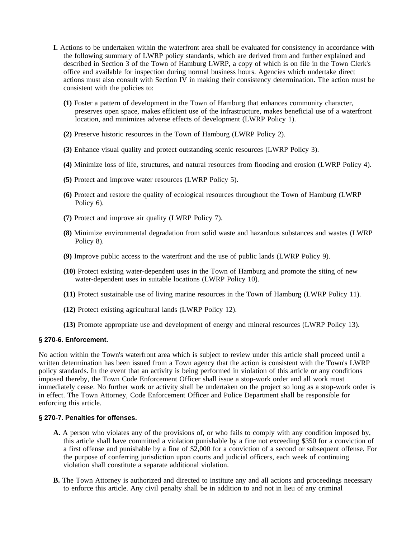- **I.** Actions to be undertaken within the waterfront area shall be evaluated for consistency in accordance with the following summary of LWRP policy standards, which are derived from and further explained and described in Section 3 of the Town of Hamburg LWRP, a copy of which is on file in the Town Clerk's office and available for inspection during normal business hours. Agencies which undertake direct actions must also consult with Section IV in making their consistency determination. The action must be consistent with the policies to:
	- **(1)** Foster a pattern of development in the Town of Hamburg that enhances community character, preserves open space, makes efficient use of the infrastructure, makes beneficial use of a waterfront location, and minimizes adverse effects of development (LWRP Policy 1).
	- **(2)** Preserve historic resources in the Town of Hamburg (LWRP Policy 2).
	- **(3)** Enhance visual quality and protect outstanding scenic resources (LWRP Policy 3).
	- **(4)** Minimize loss of life, structures, and natural resources from flooding and erosion (LWRP Policy 4).
	- **(5)** Protect and improve water resources (LWRP Policy 5).
	- **(6)** Protect and restore the quality of ecological resources throughout the Town of Hamburg (LWRP Policy 6).
	- **(7)** Protect and improve air quality (LWRP Policy 7).
	- **(8)** Minimize environmental degradation from solid waste and hazardous substances and wastes (LWRP Policy 8).
	- **(9)** Improve public access to the waterfront and the use of public lands (LWRP Policy 9).
	- **(10)** Protect existing water-dependent uses in the Town of Hamburg and promote the siting of new water-dependent uses in suitable locations (LWRP Policy 10).
	- **(11)** Protect sustainable use of living marine resources in the Town of Hamburg (LWRP Policy 11).
	- **(12)** Protect existing agricultural lands (LWRP Policy 12).
	- **(13)** Promote appropriate use and development of energy and mineral resources (LWRP Policy 13).

#### **§ 270-6. Enforcement.**

No action within the Town's waterfront area which is subject to review under this article shall proceed until a written determination has been issued from a Town agency that the action is consistent with the Town's LWRP policy standards. In the event that an activity is being performed in violation of this article or any conditions imposed thereby, the Town Code Enforcement Officer shall issue a stop-work order and all work must immediately cease. No further work or activity shall be undertaken on the project so long as a stop-work order is in effect. The Town Attorney, Code Enforcement Officer and Police Department shall be responsible for enforcing this article.

#### **§ 270-7. Penalties for offenses.**

- **A.** A person who violates any of the provisions of, or who fails to comply with any condition imposed by, this article shall have committed a violation punishable by a fine not exceeding \$350 for a conviction of a first offense and punishable by a fine of \$2,000 for a conviction of a second or subsequent offense. For the purpose of conferring jurisdiction upon courts and judicial officers, each week of continuing violation shall constitute a separate additional violation.
- **B.** The Town Attorney is authorized and directed to institute any and all actions and proceedings necessary to enforce this article. Any civil penalty shall be in addition to and not in lieu of any criminal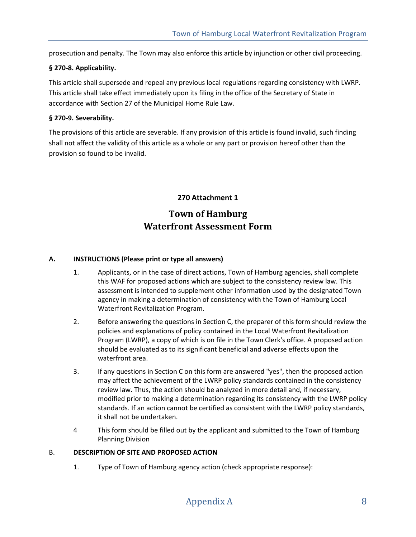prosecution and penalty. The Town may also enforce this article by injunction or other civil proceeding.

#### **§ 270-8. Applicability.**

This article shall supersede and repeal any previous local regulations regarding consistency with LWRP. This article shall take effect immediately upon its filing in the office of the Secretary of State in accordance with Section 27 of the Municipal Home Rule Law.

#### **§ 270-9. Severability.**

The provisions of this article are severable. If any provision of this article is found invalid, such finding shall not affect the validity of this article as a whole or any part or provision hereof other than the provision so found to be invalid.

# **270 Attachment 1 Town of Hamburg Waterfront Assessment Form**

#### **A. INSTRUCTIONS (Please print or type all answers)**

- 1. Applicants, or in the case of direct actions, Town of Hamburg agencies, shall complete this WAF for proposed actions which are subject to the consistency review law. This assessment is intended to supplement other information used by the designated Town agency in making a determination of consistency with the Town of Hamburg Local Waterfront Revitalization Program.
- 2. Before answering the questions in Section C, the preparer of this form should review the policies and explanations of policy contained in the Local Waterfront Revitalization Program (LWRP), a copy of which is on file in the Town Clerk's office. A proposed action should be evaluated as to its significant beneficial and adverse effects upon the waterfront area.
- 3. If any questions in Section C on this form are answered "yes", then the proposed action may affect the achievement of the LWRP policy standards contained in the consistency review law. Thus, the action should be analyzed in more detail and, if necessary, modified prior to making a determination regarding its consistency with the LWRP policy standards. If an action cannot be certified as consistent with the LWRP policy standards, it shall not be undertaken.
- 4 This form should be filled out by the applicant and submitted to the Town of Hamburg Planning Division

#### B. **DESCRIPTION OF SITE AND PROPOSED ACTION**

1. Type of Town of Hamburg agency action (check appropriate response):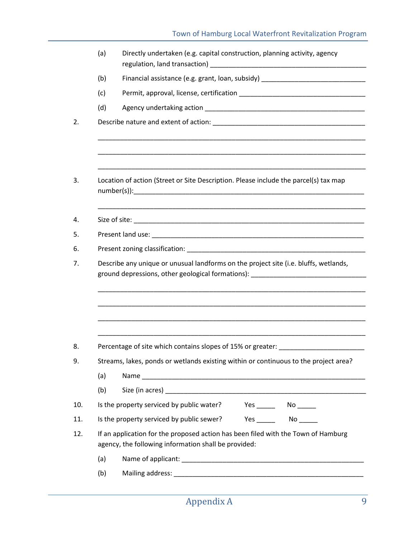|     | Directly undertaken (e.g. capital construction, planning activity, agency                                                                                                |  |  |  |  |  |
|-----|--------------------------------------------------------------------------------------------------------------------------------------------------------------------------|--|--|--|--|--|
| (b) | Financial assistance (e.g. grant, loan, subsidy) _______________________________                                                                                         |  |  |  |  |  |
| (c) |                                                                                                                                                                          |  |  |  |  |  |
| (d) |                                                                                                                                                                          |  |  |  |  |  |
|     |                                                                                                                                                                          |  |  |  |  |  |
|     | Location of action (Street or Site Description. Please include the parcel(s) tax map                                                                                     |  |  |  |  |  |
|     |                                                                                                                                                                          |  |  |  |  |  |
|     |                                                                                                                                                                          |  |  |  |  |  |
|     |                                                                                                                                                                          |  |  |  |  |  |
|     | Describe any unique or unusual landforms on the project site (i.e. bluffs, wetlands,                                                                                     |  |  |  |  |  |
|     | ground depressions, other geological formations): ______________________________                                                                                         |  |  |  |  |  |
|     | Percentage of site which contains slopes of 15% or greater: ____________________<br>Streams, lakes, ponds or wetlands existing within or continuous to the project area? |  |  |  |  |  |
| (a) |                                                                                                                                                                          |  |  |  |  |  |
| (b) |                                                                                                                                                                          |  |  |  |  |  |
|     | Is the property serviced by public water?<br>Yes ________  No _______                                                                                                    |  |  |  |  |  |
|     |                                                                                                                                                                          |  |  |  |  |  |
|     | If an application for the proposed action has been filed with the Town of Hamburg<br>agency, the following information shall be provided:                                |  |  |  |  |  |
| (a) |                                                                                                                                                                          |  |  |  |  |  |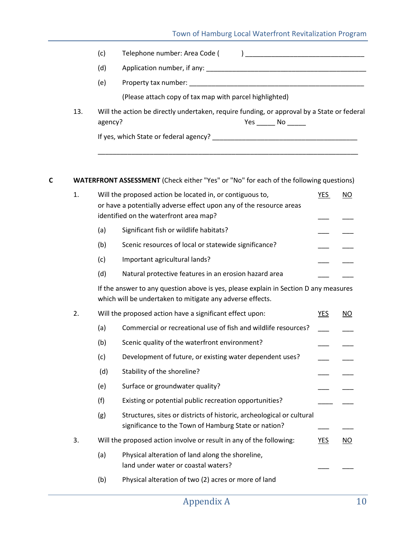### Town of Hamburg Local Waterfront Revitalization Program

|     | (c)     | Telephone number: Area Code (                                                                                  |
|-----|---------|----------------------------------------------------------------------------------------------------------------|
|     | (d)     | Application number, if any:                                                                                    |
|     | (e)     | Property tax number: example the state of the state of the state of the state of the state of the state of the |
|     |         | (Please attach copy of tax map with parcel highlighted)                                                        |
| 13. | agency? | Will the action be directly undertaken, require funding, or approval by a State or federal<br>Yes No           |
|     |         | If yes, which State or federal agency?                                                                         |
|     |         |                                                                                                                |

### **C WATERFRONT ASSESSMENT** (Check either "Yes" or "No" for each of the following questions)

| 1. |                                                                                                                                                   | Will the proposed action be located in, or contiguous to,      | YES | ΝO  |  |  |
|----|---------------------------------------------------------------------------------------------------------------------------------------------------|----------------------------------------------------------------|-----|-----|--|--|
|    | or have a potentially adverse effect upon any of the resource areas<br>identified on the waterfront area map?                                     |                                                                |     |     |  |  |
|    | (a)                                                                                                                                               | Significant fish or wildlife habitats?                         |     |     |  |  |
|    | (b)                                                                                                                                               | Scenic resources of local or statewide significance?           |     |     |  |  |
|    | (c)                                                                                                                                               | Important agricultural lands?                                  |     |     |  |  |
|    | (d)                                                                                                                                               | Natural protective features in an erosion hazard area          |     |     |  |  |
|    | If the answer to any question above is yes, please explain in Section D any measures<br>which will be undertaken to mitigate any adverse effects. |                                                                |     |     |  |  |
| 2. |                                                                                                                                                   | Will the proposed action have a significant effect upon:       | YES | NO. |  |  |
|    | (a)                                                                                                                                               | Commercial or recreational use of fish and wildlife resources? |     |     |  |  |
|    | (b)                                                                                                                                               | Scenic quality of the waterfront environment?                  |     |     |  |  |
|    | (c)                                                                                                                                               | Development of future, or existing water dependent uses?       |     |     |  |  |

| (d) | Stability of the shoreline?     |  |
|-----|---------------------------------|--|
| (e) | Surface or groundwater quality? |  |

|  | Existing or potential public recreation opportunities? |  |  |
|--|--------------------------------------------------------|--|--|
|--|--------------------------------------------------------|--|--|

| (g) | Structures, sites or districts of historic, archeological or cultural |  |
|-----|-----------------------------------------------------------------------|--|
|     | significance to the Town of Hamburg State or nation?                  |  |

## 3. Will the proposed action involve or result in any of the following: YES NO

- (a) Physical alteration of land along the shoreline, land under water or coastal waters?
- (b) Physical alteration of two (2) acres or more of land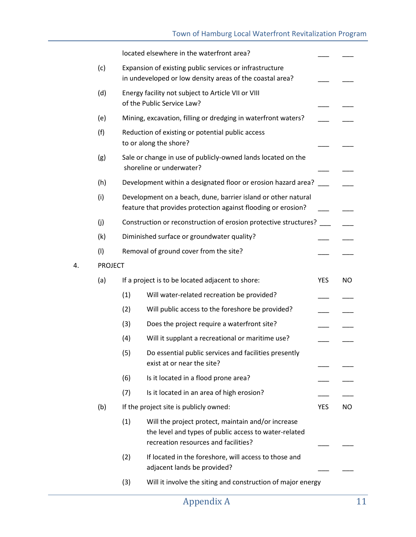### Town of Hamburg Local Waterfront Revitalization Program

|    |                |     | located elsewhere in the waterfront area?                                                                                                           |     |           |
|----|----------------|-----|-----------------------------------------------------------------------------------------------------------------------------------------------------|-----|-----------|
|    | (c)            |     | Expansion of existing public services or infrastructure<br>in undeveloped or low density areas of the coastal area?                                 |     |           |
|    | (d)            |     | Energy facility not subject to Article VII or VIII<br>of the Public Service Law?                                                                    |     |           |
|    | (e)            |     | Mining, excavation, filling or dredging in waterfront waters?                                                                                       |     |           |
|    | (f)            |     | Reduction of existing or potential public access<br>to or along the shore?                                                                          |     |           |
|    | (g)            |     | Sale or change in use of publicly-owned lands located on the<br>shoreline or underwater?                                                            |     |           |
|    | (h)            |     | Development within a designated floor or erosion hazard area?                                                                                       |     |           |
|    | (i)            |     | Development on a beach, dune, barrier island or other natural<br>feature that provides protection against flooding or erosion?                      |     |           |
|    | (j)            |     | Construction or reconstruction of erosion protective structures?                                                                                    |     |           |
|    | (k)            |     | Diminished surface or groundwater quality?                                                                                                          |     |           |
|    | (1)            |     | Removal of ground cover from the site?                                                                                                              |     |           |
| 4. | <b>PROJECT</b> |     |                                                                                                                                                     |     |           |
|    | (a)            |     | If a project is to be located adjacent to shore:                                                                                                    | YES | <b>NO</b> |
|    |                | (1) | Will water-related recreation be provided?                                                                                                          |     |           |
|    |                | (2) | Will public access to the foreshore be provided?                                                                                                    |     |           |
|    |                | (3) | Does the project require a waterfront site?                                                                                                         |     |           |
|    |                | (4) | Will it supplant a recreational or maritime use?                                                                                                    |     |           |
|    |                | (5) | Do essential public services and facilities presently<br>exist at or near the site?                                                                 |     |           |
|    |                | (6) | Is it located in a flood prone area?                                                                                                                |     |           |
|    |                | (7) | Is it located in an area of high erosion?                                                                                                           |     |           |
|    | (b)            |     | If the project site is publicly owned:                                                                                                              | YES | NO.       |
|    |                | (1) | Will the project protect, maintain and/or increase<br>the level and types of public access to water-related<br>recreation resources and facilities? |     |           |
|    |                | (2) | If located in the foreshore, will access to those and<br>adjacent lands be provided?                                                                |     |           |
|    |                | (3) | Will it involve the siting and construction of major energy                                                                                         |     |           |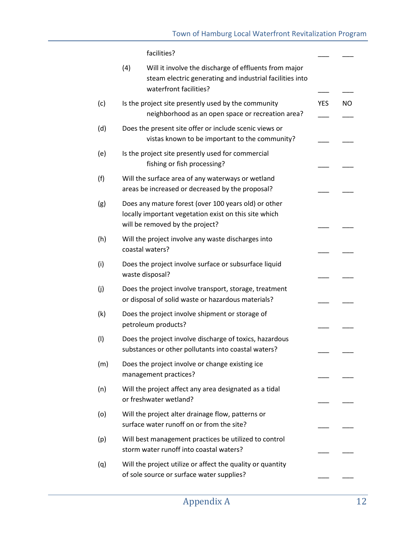facilities?

|     | (4) | Will it involve the discharge of effluents from major<br>steam electric generating and industrial facilities into<br>waterfront facilities?      |            |     |
|-----|-----|--------------------------------------------------------------------------------------------------------------------------------------------------|------------|-----|
| (c) |     | Is the project site presently used by the community<br>neighborhood as an open space or recreation area?                                         | <b>YES</b> | NO. |
| (d) |     | Does the present site offer or include scenic views or<br>vistas known to be important to the community?                                         |            |     |
| (e) |     | Is the project site presently used for commercial<br>fishing or fish processing?                                                                 |            |     |
| (f) |     | Will the surface area of any waterways or wetland<br>areas be increased or decreased by the proposal?                                            |            |     |
| (g) |     | Does any mature forest (over 100 years old) or other<br>locally important vegetation exist on this site which<br>will be removed by the project? |            |     |
| (h) |     | Will the project involve any waste discharges into<br>coastal waters?                                                                            |            |     |
| (i) |     | Does the project involve surface or subsurface liquid<br>waste disposal?                                                                         |            |     |
| (j) |     | Does the project involve transport, storage, treatment<br>or disposal of solid waste or hazardous materials?                                     |            |     |
| (k) |     | Does the project involve shipment or storage of<br>petroleum products?                                                                           |            |     |
| (1) |     | Does the project involve discharge of toxics, hazardous<br>substances or other pollutants into coastal waters?                                   |            |     |
| (m) |     | Does the project involve or change existing ice<br>management practices?                                                                         |            |     |
| (n) |     | Will the project affect any area designated as a tidal<br>or freshwater wetland?                                                                 |            |     |
| (o) |     | Will the project alter drainage flow, patterns or<br>surface water runoff on or from the site?                                                   |            |     |
| (p) |     | Will best management practices be utilized to control<br>storm water runoff into coastal waters?                                                 |            |     |
| (q) |     | Will the project utilize or affect the quality or quantity<br>of sole source or surface water supplies?                                          |            |     |